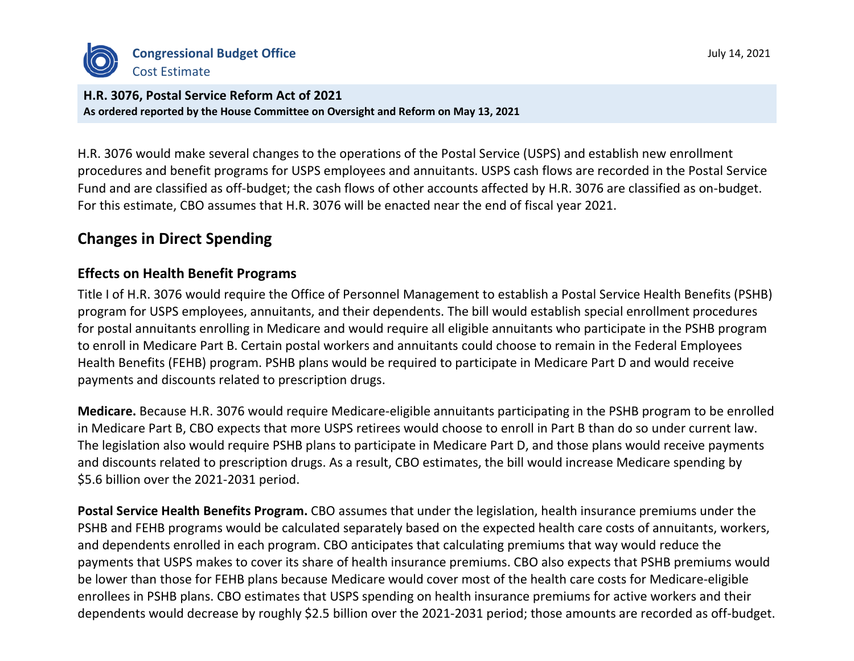

**H.R. 3076, Postal Service Reform Act of 2021 As ordered reported by the House Committee on Oversight and Reform on May 13, 2021**

H.R. 3076 would make several changes to the operations of the Postal Service (USPS) and establish new enrollment procedures and benefit programs for USPS employees and annuitants. USPS cash flows are recorded in the Postal Service Fund and are classified as off-budget; the cash flows of other accounts affected by H.R. 3076 are classified as on-budget. For this estimate, CBO assumes that H.R. 3076 will be enacted near the end of fiscal year 2021.

## **Changes in Direct Spending**

#### **Effects on Health Benefit Programs**

Title I of H.R. 3076 would require the Office of Personnel Management to establish a Postal Service Health Benefits (PSHB) program for USPS employees, annuitants, and their dependents. The bill would establish special enrollment procedures for postal annuitants enrolling in Medicare and would require all eligible annuitants who participate in the PSHB program to enroll in Medicare Part B. Certain postal workers and annuitants could choose to remain in the Federal Employees Health Benefits (FEHB) program. PSHB plans would be required to participate in Medicare Part D and would receive payments and discounts related to prescription drugs.

**Medicare.** Because H.R. 3076 would require Medicare-eligible annuitants participating in the PSHB program to be enrolled in Medicare Part B, CBO expects that more USPS retirees would choose to enroll in Part B than do so under current law. The legislation also would require PSHB plans to participate in Medicare Part D, and those plans would receive payments and discounts related to prescription drugs. As a result, CBO estimates, the bill would increase Medicare spending by \$5.6 billion over the 2021-2031 period.

**Postal Service Health Benefits Program.** CBO assumes that under the legislation, health insurance premiums under the PSHB and FEHB programs would be calculated separately based on the expected health care costs of annuitants, workers, and dependents enrolled in each program. CBO anticipates that calculating premiums that way would reduce the payments that USPS makes to cover its share of health insurance premiums. CBO also expects that PSHB premiums would be lower than those for FEHB plans because Medicare would cover most of the health care costs for Medicare-eligible enrollees in PSHB plans. CBO estimates that USPS spending on health insurance premiums for active workers and their dependents would decrease by roughly \$2.5 billion over the 2021-2031 period; those amounts are recorded as off-budget.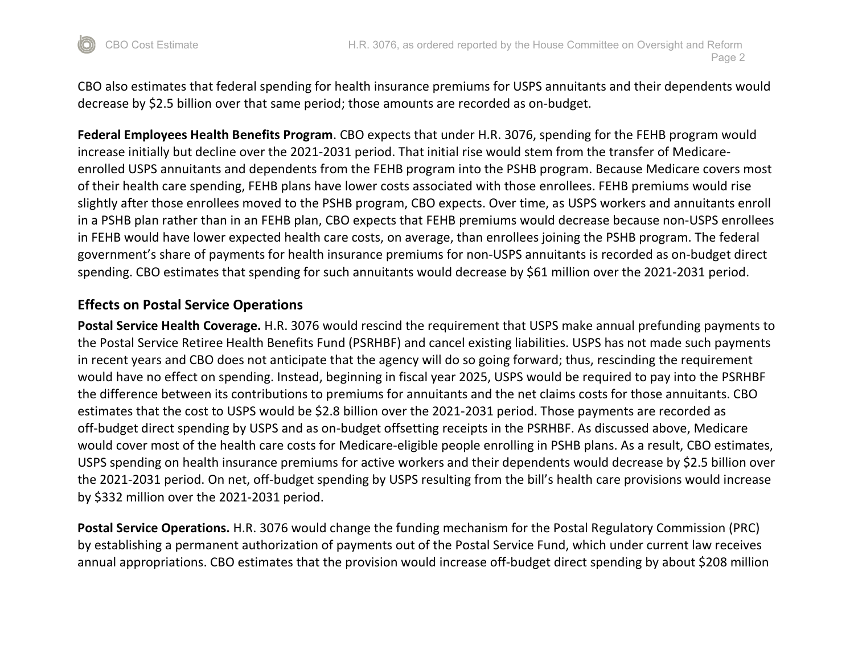

CBO also estimates that federal spending for health insurance premiums for USPS annuitants and their dependents would decrease by \$2.5 billion over that same period; those amounts are recorded as on-budget.

**Federal Employees Health Benefits Program**. CBO expects that under H.R. 3076, spending for the FEHB program would increase initially but decline over the 2021-2031 period. That initial rise would stem from the transfer of Medicareenrolled USPS annuitants and dependents from the FEHB program into the PSHB program. Because Medicare covers most of their health care spending, FEHB plans have lower costs associated with those enrollees. FEHB premiums would rise slightly after those enrollees moved to the PSHB program, CBO expects. Over time, as USPS workers and annuitants enroll in a PSHB plan rather than in an FEHB plan, CBO expects that FEHB premiums would decrease because non-USPS enrollees in FEHB would have lower expected health care costs, on average, than enrollees joining the PSHB program. The federal government's share of payments for health insurance premiums for non-USPS annuitants is recorded as on-budget direct spending. CBO estimates that spending for such annuitants would decrease by \$61 million over the 2021-2031 period.

#### **Effects on Postal Service Operations**

**Postal Service Health Coverage.** H.R. 3076 would rescind the requirement that USPS make annual prefunding payments to the Postal Service Retiree Health Benefits Fund (PSRHBF) and cancel existing liabilities. USPS has not made such payments in recent years and CBO does not anticipate that the agency will do so going forward; thus, rescinding the requirement would have no effect on spending. Instead, beginning in fiscal year 2025, USPS would be required to pay into the PSRHBF the difference between its contributions to premiums for annuitants and the net claims costs for those annuitants. CBO estimates that the cost to USPS would be \$2.8 billion over the 2021-2031 period. Those payments are recorded as off-budget direct spending by USPS and as on-budget offsetting receipts in the PSRHBF. As discussed above, Medicare would cover most of the health care costs for Medicare-eligible people enrolling in PSHB plans. As a result, CBO estimates, USPS spending on health insurance premiums for active workers and their dependents would decrease by \$2.5 billion over the 2021-2031 period. On net, off-budget spending by USPS resulting from the bill's health care provisions would increase by \$332 million over the 2021-2031 period.

**Postal Service Operations.** H.R. 3076 would change the funding mechanism for the Postal Regulatory Commission (PRC) by establishing a permanent authorization of payments out of the Postal Service Fund, which under current law receives annual appropriations. CBO estimates that the provision would increase off-budget direct spending by about \$208 million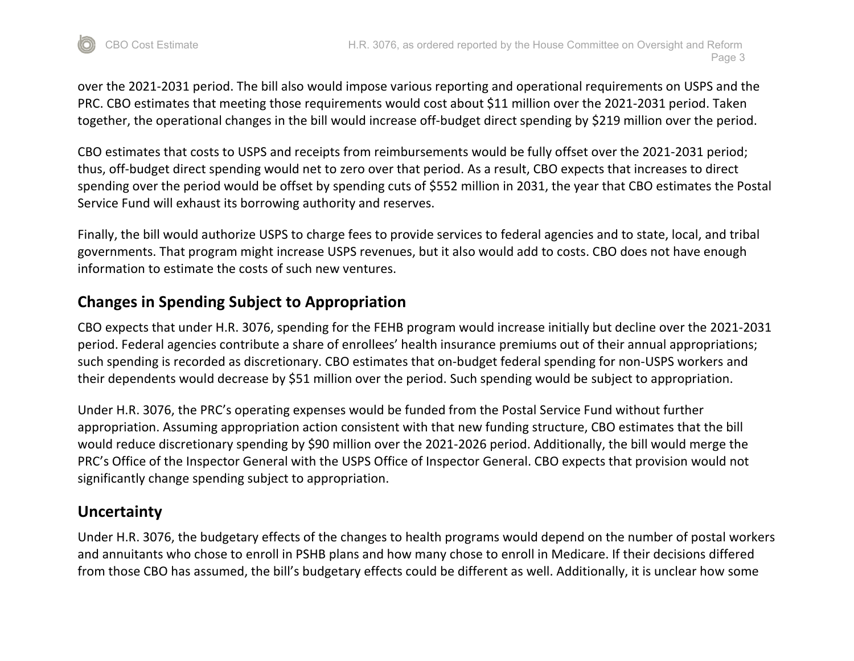

over the 2021-2031 period. The bill also would impose various reporting and operational requirements on USPS and the PRC. CBO estimates that meeting those requirements would cost about \$11 million over the 2021-2031 period. Taken together, the operational changes in the bill would increase off-budget direct spending by \$219 million over the period.

CBO estimates that costs to USPS and receipts from reimbursements would be fully offset over the 2021-2031 period; thus, off-budget direct spending would net to zero over that period. As a result, CBO expects that increases to direct spending over the period would be offset by spending cuts of \$552 million in 2031, the year that CBO estimates the Postal Service Fund will exhaust its borrowing authority and reserves.

Finally, the bill would authorize USPS to charge fees to provide services to federal agencies and to state, local, and tribal governments. That program might increase USPS revenues, but it also would add to costs. CBO does not have enough information to estimate the costs of such new ventures.

# **Changes in Spending Subject to Appropriation**

CBO expects that under H.R. 3076, spending for the FEHB program would increase initially but decline over the 2021-2031 period. Federal agencies contribute a share of enrollees' health insurance premiums out of their annual appropriations; such spending is recorded as discretionary. CBO estimates that on-budget federal spending for non-USPS workers and their dependents would decrease by \$51 million over the period. Such spending would be subject to appropriation.

Under H.R. 3076, the PRC's operating expenses would be funded from the Postal Service Fund without further appropriation. Assuming appropriation action consistent with that new funding structure, CBO estimates that the bill would reduce discretionary spending by \$90 million over the 2021-2026 period. Additionally, the bill would merge the PRC's Office of the Inspector General with the USPS Office of Inspector General. CBO expects that provision would not significantly change spending subject to appropriation.

## **Uncertainty**

Under H.R. 3076, the budgetary effects of the changes to health programs would depend on the number of postal workers and annuitants who chose to enroll in PSHB plans and how many chose to enroll in Medicare. If their decisions differed from those CBO has assumed, the bill's budgetary effects could be different as well. Additionally, it is unclear how some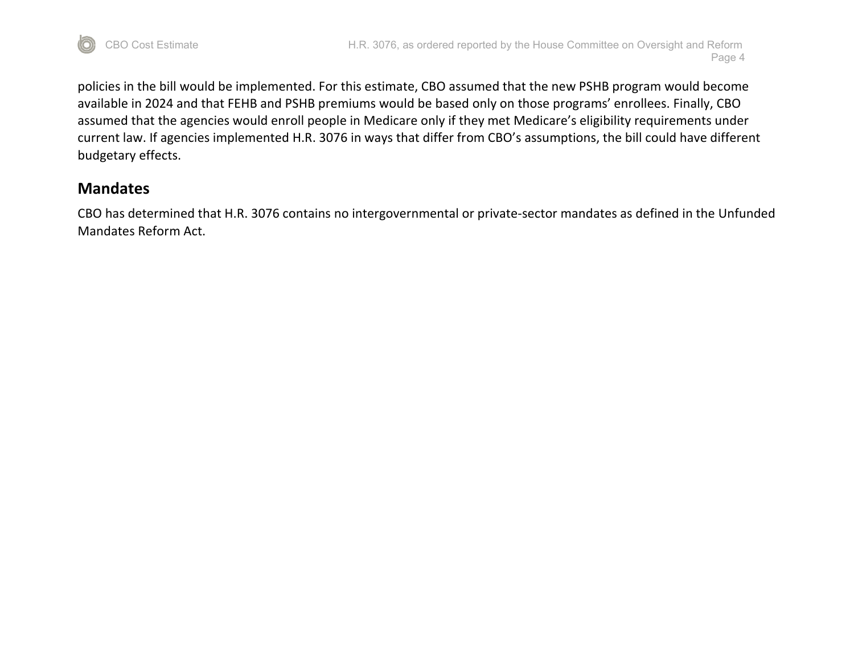

policies in the bill would be implemented. For this estimate, CBO assumed that the new PSHB program would become available in 2024 and that FEHB and PSHB premiums would be based only on those programs' enrollees. Finally, CBO assumed that the agencies would enroll people in Medicare only if they met Medicare's eligibility requirements under current law. If agencies implemented H.R. 3076 in ways that differ from CBO's assumptions, the bill could have different budgetary effects.

## **Mandates**

CBO has determined that H.R. 3076 contains no intergovernmental or private-sector mandates as defined in the Unfunded Mandates Reform Act.